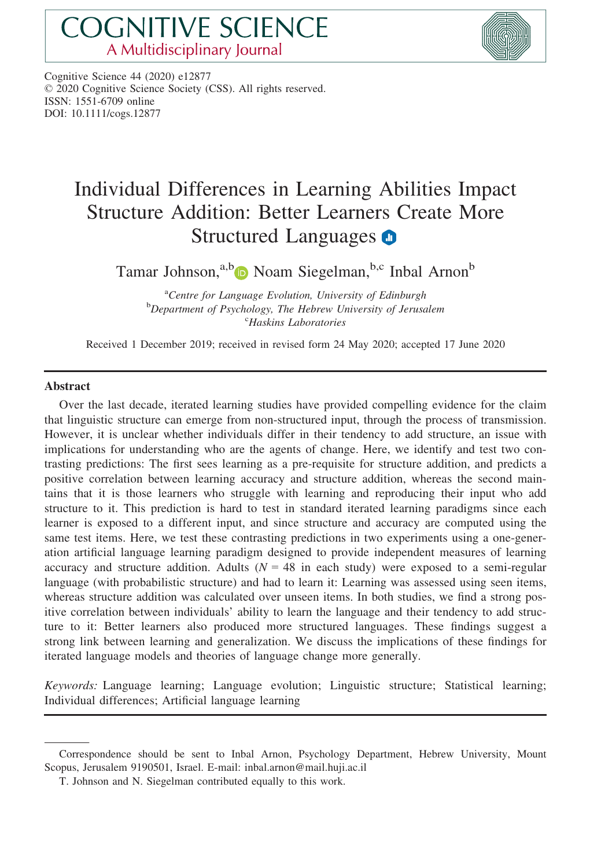# **COGNITIVE SCIENCE** A Multidisciplinary Journal



Cognitive Science 44 (2020) e12877 © 2020 Cognitive Science Society (CSS). All rights reserved. ISSN: 1551-6709 online DOI: 10.1111/cogs.12877

# Individual Differences in Learning Abilities Impact Structure Addition: Better Learners Create More Structured Languages **O**

Tamar Johnson,<sup>a,b</sup> Noam Siegelman, b,c Inbal Arnon<sup>b</sup>

<sup>a</sup> Centre for Language Evolution, University of Edinburgh<br><sup>b</sup> Department of Psychology, The Hebray University of Jerusa  $b$ Department of Psychology, The Hebrew University of Jerusalem Haskins Laboratories

Received 1 December 2019; received in revised form 24 May 2020; accepted 17 June 2020

#### Abstract

Over the last decade, iterated learning studies have provided compelling evidence for the claim that linguistic structure can emerge from non-structured input, through the process of transmission. However, it is unclear whether individuals differ in their tendency to add structure, an issue with implications for understanding who are the agents of change. Here, we identify and test two contrasting predictions: The first sees learning as a pre-requisite for structure addition, and predicts a positive correlation between learning accuracy and structure addition, whereas the second maintains that it is those learners who struggle with learning and reproducing their input who add structure to it. This prediction is hard to test in standard iterated learning paradigms since each learner is exposed to a different input, and since structure and accuracy are computed using the same test items. Here, we test these contrasting predictions in two experiments using a one-generation artificial language learning paradigm designed to provide independent measures of learning accuracy and structure addition. Adults ( $N = 48$  in each study) were exposed to a semi-regular language (with probabilistic structure) and had to learn it: Learning was assessed using seen items, whereas structure addition was calculated over unseen items. In both studies, we find a strong positive correlation between individuals' ability to learn the language and their tendency to add structure to it: Better learners also produced more structured languages. These findings suggest a strong link between learning and generalization. We discuss the implications of these findings for iterated language models and theories of language change more generally.

Keywords: Language learning; Language evolution; Linguistic structure; Statistical learning; Individual differences; Artificial language learning

Correspondence should be sent to Inbal Arnon, Psychology Department, Hebrew University, Mount Scopus, Jerusalem 9190501, Israel. E-mail: [inbal.arnon@mail.huji.ac.il](mailto:)

T. Johnson and N. Siegelman contributed equally to this work.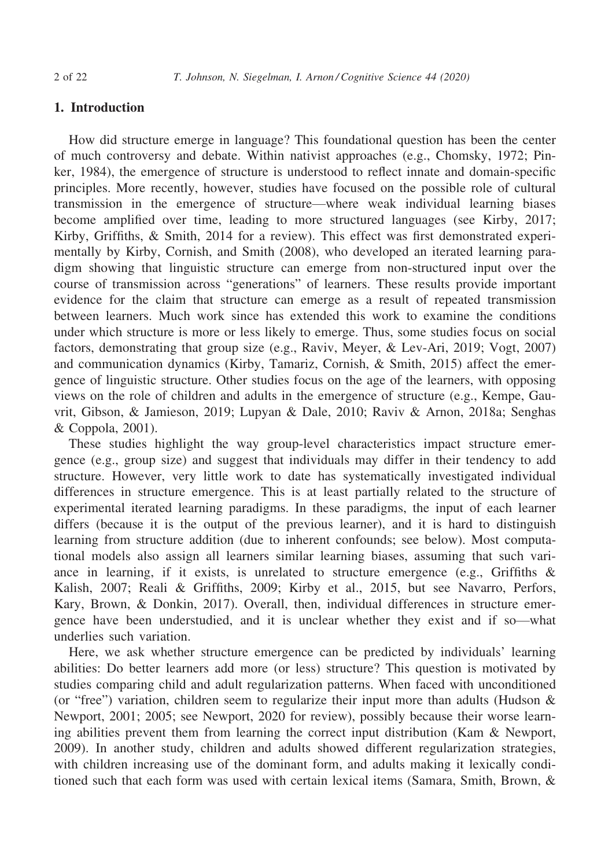## 1. Introduction

How did structure emerge in language? This foundational question has been the center of much controversy and debate. Within nativist approaches (e.g., Chomsky, 1972; Pinker, 1984), the emergence of structure is understood to reflect innate and domain-specific principles. More recently, however, studies have focused on the possible role of cultural transmission in the emergence of structure—where weak individual learning biases become amplified over time, leading to more structured languages (see Kirby, 2017; Kirby, Griffiths, & Smith, 2014 for a review). This effect was first demonstrated experimentally by Kirby, Cornish, and Smith (2008), who developed an iterated learning paradigm showing that linguistic structure can emerge from non-structured input over the course of transmission across "generations" of learners. These results provide important evidence for the claim that structure can emerge as a result of repeated transmission between learners. Much work since has extended this work to examine the conditions under which structure is more or less likely to emerge. Thus, some studies focus on social factors, demonstrating that group size (e.g., Raviv, Meyer, & Lev-Ari, 2019; Vogt, 2007) and communication dynamics (Kirby, Tamariz, Cornish, & Smith, 2015) affect the emergence of linguistic structure. Other studies focus on the age of the learners, with opposing views on the role of children and adults in the emergence of structure (e.g., Kempe, Gauvrit, Gibson, & Jamieson, 2019; Lupyan & Dale, 2010; Raviv & Arnon, 2018a; Senghas & Coppola, 2001).

These studies highlight the way group-level characteristics impact structure emergence (e.g., group size) and suggest that individuals may differ in their tendency to add structure. However, very little work to date has systematically investigated individual differences in structure emergence. This is at least partially related to the structure of experimental iterated learning paradigms. In these paradigms, the input of each learner differs (because it is the output of the previous learner), and it is hard to distinguish learning from structure addition (due to inherent confounds; see below). Most computational models also assign all learners similar learning biases, assuming that such variance in learning, if it exists, is unrelated to structure emergence (e.g., Griffiths  $\&$ Kalish, 2007; Reali & Griffiths, 2009; Kirby et al., 2015, but see Navarro, Perfors, Kary, Brown, & Donkin, 2017). Overall, then, individual differences in structure emergence have been understudied, and it is unclear whether they exist and if so—what underlies such variation.

Here, we ask whether structure emergence can be predicted by individuals' learning abilities: Do better learners add more (or less) structure? This question is motivated by studies comparing child and adult regularization patterns. When faced with unconditioned (or "free") variation, children seem to regularize their input more than adults (Hudson  $\&$ Newport, 2001; 2005; see Newport, 2020 for review), possibly because their worse learning abilities prevent them from learning the correct input distribution (Kam & Newport, 2009). In another study, children and adults showed different regularization strategies, with children increasing use of the dominant form, and adults making it lexically conditioned such that each form was used with certain lexical items (Samara, Smith, Brown, &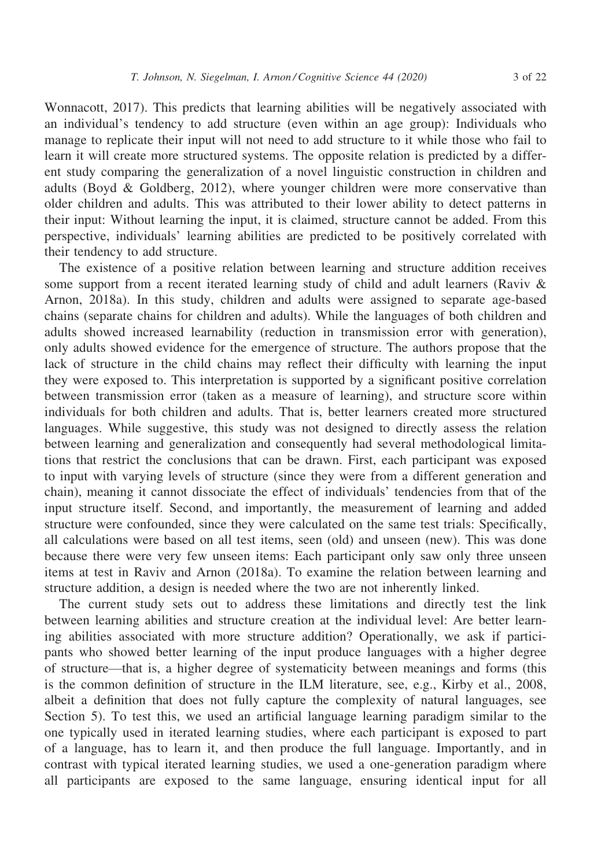Wonnacott, 2017). This predicts that learning abilities will be negatively associated with an individual's tendency to add structure (even within an age group): Individuals who manage to replicate their input will not need to add structure to it while those who fail to learn it will create more structured systems. The opposite relation is predicted by a different study comparing the generalization of a novel linguistic construction in children and adults (Boyd & Goldberg, 2012), where younger children were more conservative than older children and adults. This was attributed to their lower ability to detect patterns in their input: Without learning the input, it is claimed, structure cannot be added. From this perspective, individuals' learning abilities are predicted to be positively correlated with their tendency to add structure.

The existence of a positive relation between learning and structure addition receives some support from a recent iterated learning study of child and adult learners (Raviv & Arnon, 2018a). In this study, children and adults were assigned to separate age-based chains (separate chains for children and adults). While the languages of both children and adults showed increased learnability (reduction in transmission error with generation), only adults showed evidence for the emergence of structure. The authors propose that the lack of structure in the child chains may reflect their difficulty with learning the input they were exposed to. This interpretation is supported by a significant positive correlation between transmission error (taken as a measure of learning), and structure score within individuals for both children and adults. That is, better learners created more structured languages. While suggestive, this study was not designed to directly assess the relation between learning and generalization and consequently had several methodological limitations that restrict the conclusions that can be drawn. First, each participant was exposed to input with varying levels of structure (since they were from a different generation and chain), meaning it cannot dissociate the effect of individuals' tendencies from that of the input structure itself. Second, and importantly, the measurement of learning and added structure were confounded, since they were calculated on the same test trials: Specifically, all calculations were based on all test items, seen (old) and unseen (new). This was done because there were very few unseen items: Each participant only saw only three unseen items at test in Raviv and Arnon (2018a). To examine the relation between learning and structure addition, a design is needed where the two are not inherently linked.

The current study sets out to address these limitations and directly test the link between learning abilities and structure creation at the individual level: Are better learning abilities associated with more structure addition? Operationally, we ask if participants who showed better learning of the input produce languages with a higher degree of structure—that is, a higher degree of systematicity between meanings and forms (this is the common definition of structure in the ILM literature, see, e.g., Kirby et al., 2008, albeit a definition that does not fully capture the complexity of natural languages, see Section 5). To test this, we used an artificial language learning paradigm similar to the one typically used in iterated learning studies, where each participant is exposed to part of a language, has to learn it, and then produce the full language. Importantly, and in contrast with typical iterated learning studies, we used a one-generation paradigm where all participants are exposed to the same language, ensuring identical input for all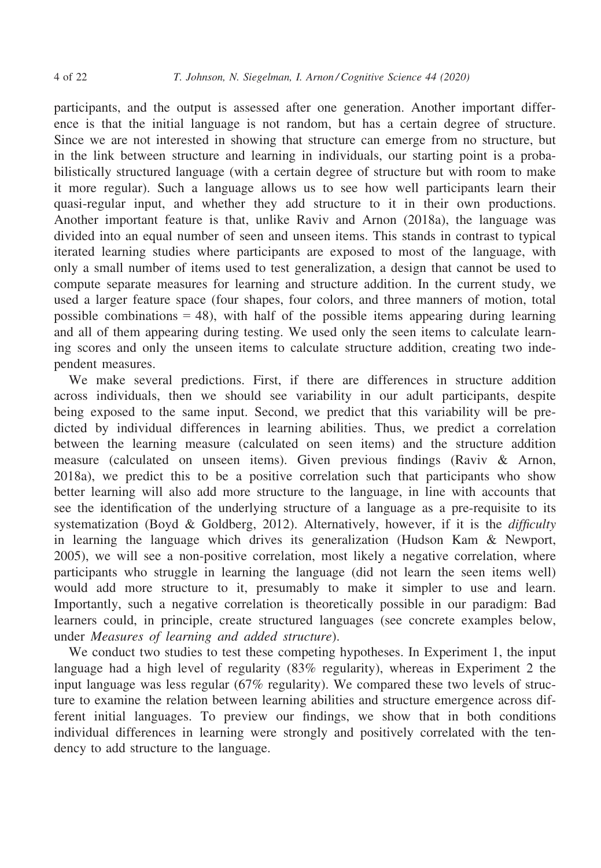participants, and the output is assessed after one generation. Another important difference is that the initial language is not random, but has a certain degree of structure. Since we are not interested in showing that structure can emerge from no structure, but in the link between structure and learning in individuals, our starting point is a probabilistically structured language (with a certain degree of structure but with room to make it more regular). Such a language allows us to see how well participants learn their quasi-regular input, and whether they add structure to it in their own productions. Another important feature is that, unlike Raviv and Arnon (2018a), the language was divided into an equal number of seen and unseen items. This stands in contrast to typical iterated learning studies where participants are exposed to most of the language, with only a small number of items used to test generalization, a design that cannot be used to compute separate measures for learning and structure addition. In the current study, we used a larger feature space (four shapes, four colors, and three manners of motion, total possible combinations  $= 48$ ), with half of the possible items appearing during learning and all of them appearing during testing. We used only the seen items to calculate learning scores and only the unseen items to calculate structure addition, creating two independent measures.

We make several predictions. First, if there are differences in structure addition across individuals, then we should see variability in our adult participants, despite being exposed to the same input. Second, we predict that this variability will be predicted by individual differences in learning abilities. Thus, we predict a correlation between the learning measure (calculated on seen items) and the structure addition measure (calculated on unseen items). Given previous findings (Raviv & Arnon, 2018a), we predict this to be a positive correlation such that participants who show better learning will also add more structure to the language, in line with accounts that see the identification of the underlying structure of a language as a pre-requisite to its systematization (Boyd & Goldberg, 2012). Alternatively, however, if it is the *difficulty* in learning the language which drives its generalization (Hudson Kam & Newport, 2005), we will see a non-positive correlation, most likely a negative correlation, where participants who struggle in learning the language (did not learn the seen items well) would add more structure to it, presumably to make it simpler to use and learn. Importantly, such a negative correlation is theoretically possible in our paradigm: Bad learners could, in principle, create structured languages (see concrete examples below, under Measures of learning and added structure).

We conduct two studies to test these competing hypotheses. In Experiment 1, the input language had a high level of regularity (83% regularity), whereas in Experiment 2 the input language was less regular (67% regularity). We compared these two levels of structure to examine the relation between learning abilities and structure emergence across different initial languages. To preview our findings, we show that in both conditions individual differences in learning were strongly and positively correlated with the tendency to add structure to the language.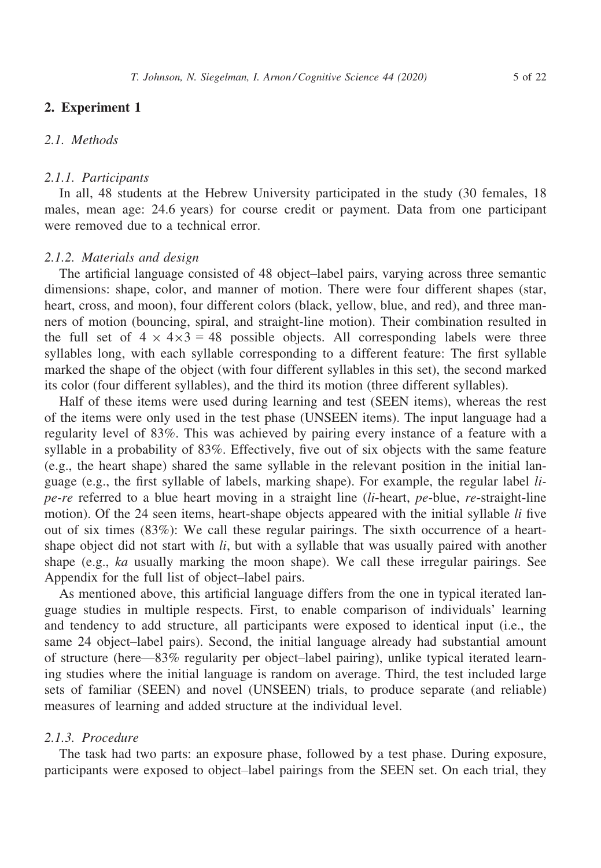## 2. Experiment 1

### 2.1. Methods

#### 2.1.1. Participants

In all, 48 students at the Hebrew University participated in the study (30 females, 18 males, mean age: 24.6 years) for course credit or payment. Data from one participant were removed due to a technical error.

#### 2.1.2. Materials and design

The artificial language consisted of 48 object–label pairs, varying across three semantic dimensions: shape, color, and manner of motion. There were four different shapes (star, heart, cross, and moon), four different colors (black, yellow, blue, and red), and three manners of motion (bouncing, spiral, and straight-line motion). Their combination resulted in the full set of  $4 \times 4 \times 3 = 48$  possible objects. All corresponding labels were three syllables long, with each syllable corresponding to a different feature: The first syllable marked the shape of the object (with four different syllables in this set), the second marked its color (four different syllables), and the third its motion (three different syllables).

Half of these items were used during learning and test (SEEN items), whereas the rest of the items were only used in the test phase (UNSEEN items). The input language had a regularity level of 83%. This was achieved by pairing every instance of a feature with a syllable in a probability of 83%. Effectively, five out of six objects with the same feature (e.g., the heart shape) shared the same syllable in the relevant position in the initial language (e.g., the first syllable of labels, marking shape). For example, the regular label lipe-re referred to a blue heart moving in a straight line (li-heart, pe-blue, re-straight-line motion). Of the 24 seen items, heart-shape objects appeared with the initial syllable li five out of six times (83%): We call these regular pairings. The sixth occurrence of a heartshape object did not start with  $li$ , but with a syllable that was usually paired with another shape (e.g., ka usually marking the moon shape). We call these irregular pairings. See Appendix for the full list of object–label pairs.

As mentioned above, this artificial language differs from the one in typical iterated language studies in multiple respects. First, to enable comparison of individuals' learning and tendency to add structure, all participants were exposed to identical input (i.e., the same 24 object–label pairs). Second, the initial language already had substantial amount of structure (here—83% regularity per object–label pairing), unlike typical iterated learning studies where the initial language is random on average. Third, the test included large sets of familiar (SEEN) and novel (UNSEEN) trials, to produce separate (and reliable) measures of learning and added structure at the individual level.

#### 2.1.3. Procedure

The task had two parts: an exposure phase, followed by a test phase. During exposure, participants were exposed to object–label pairings from the SEEN set. On each trial, they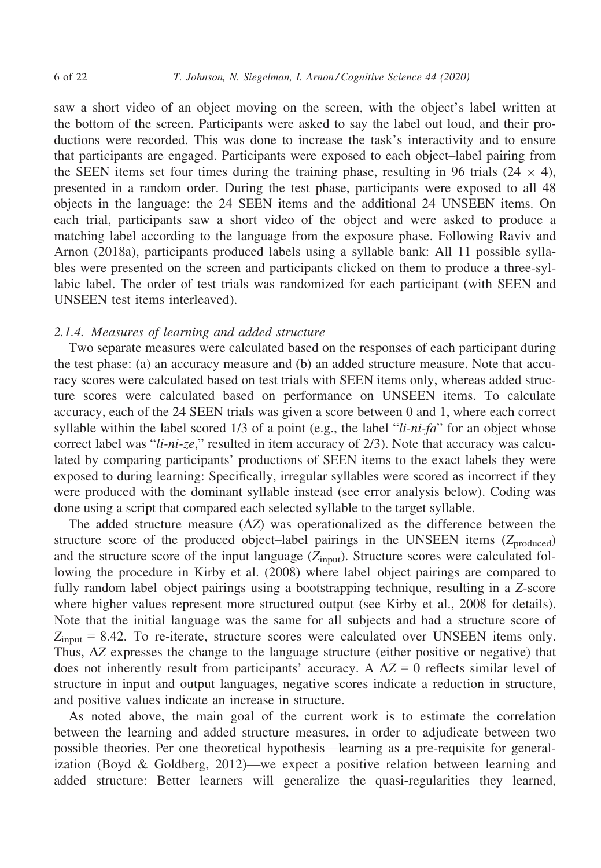saw a short video of an object moving on the screen, with the object's label written at the bottom of the screen. Participants were asked to say the label out loud, and their productions were recorded. This was done to increase the task's interactivity and to ensure that participants are engaged. Participants were exposed to each object–label pairing from the SEEN items set four times during the training phase, resulting in 96 trials (24  $\times$  4), presented in a random order. During the test phase, participants were exposed to all 48 objects in the language: the 24 SEEN items and the additional 24 UNSEEN items. On each trial, participants saw a short video of the object and were asked to produce a matching label according to the language from the exposure phase. Following Raviv and Arnon (2018a), participants produced labels using a syllable bank: All 11 possible syllables were presented on the screen and participants clicked on them to produce a three-syllabic label. The order of test trials was randomized for each participant (with SEEN and UNSEEN test items interleaved).

#### 2.1.4. Measures of learning and added structure

Two separate measures were calculated based on the responses of each participant during the test phase: (a) an accuracy measure and (b) an added structure measure. Note that accuracy scores were calculated based on test trials with SEEN items only, whereas added structure scores were calculated based on performance on UNSEEN items. To calculate accuracy, each of the 24 SEEN trials was given a score between 0 and 1, where each correct syllable within the label scored 1/3 of a point (e.g., the label " $li$ -ni-fa" for an object whose correct label was "*li-ni-ze*," resulted in item accuracy of 2/3). Note that accuracy was calculated by comparing participants' productions of SEEN items to the exact labels they were exposed to during learning: Specifically, irregular syllables were scored as incorrect if they were produced with the dominant syllable instead (see error analysis below). Coding was done using a script that compared each selected syllable to the target syllable.

The added structure measure  $(\Delta Z)$  was operationalized as the difference between the structure score of the produced object–label pairings in the UNSEEN items  $(Z_{\text{produced}})$ and the structure score of the input language  $(Z_{\text{input}})$ . Structure scores were calculated following the procedure in Kirby et al. (2008) where label–object pairings are compared to fully random label–object pairings using a bootstrapping technique, resulting in a Z-score where higher values represent more structured output (see Kirby et al., 2008 for details). Note that the initial language was the same for all subjects and had a structure score of  $Z_{input} = 8.42$ . To re-iterate, structure scores were calculated over UNSEEN items only. Thus,  $\Delta Z$  expresses the change to the language structure (either positive or negative) that does not inherently result from participants' accuracy. A  $\Delta Z = 0$  reflects similar level of structure in input and output languages, negative scores indicate a reduction in structure, and positive values indicate an increase in structure.

As noted above, the main goal of the current work is to estimate the correlation between the learning and added structure measures, in order to adjudicate between two possible theories. Per one theoretical hypothesis—learning as a pre-requisite for generalization (Boyd & Goldberg, 2012)—we expect a positive relation between learning and added structure: Better learners will generalize the quasi-regularities they learned,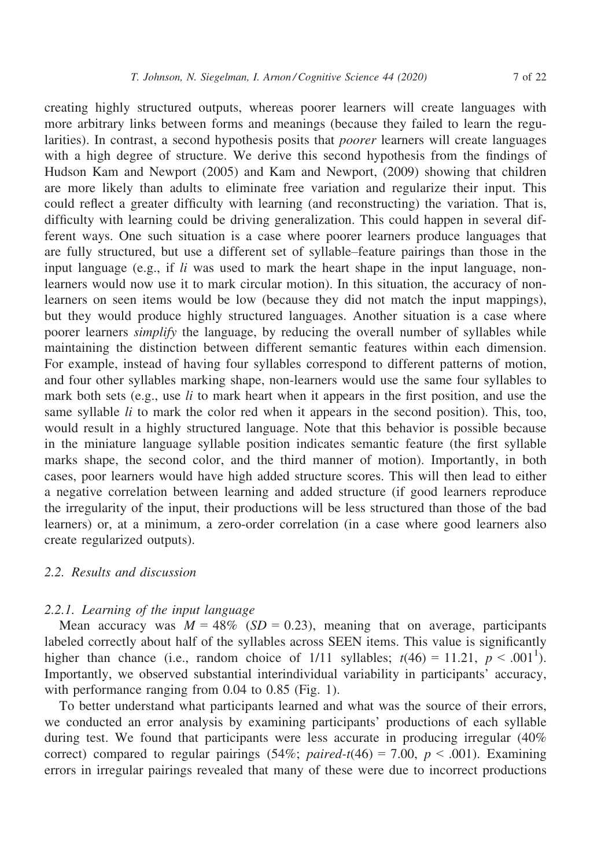creating highly structured outputs, whereas poorer learners will create languages with more arbitrary links between forms and meanings (because they failed to learn the regularities). In contrast, a second hypothesis posits that *poorer* learners will create languages with a high degree of structure. We derive this second hypothesis from the findings of Hudson Kam and Newport (2005) and Kam and Newport, (2009) showing that children are more likely than adults to eliminate free variation and regularize their input. This could reflect a greater difficulty with learning (and reconstructing) the variation. That is, difficulty with learning could be driving generalization. This could happen in several different ways. One such situation is a case where poorer learners produce languages that are fully structured, but use a different set of syllable–feature pairings than those in the input language (e.g., if  $li$  was used to mark the heart shape in the input language, nonlearners would now use it to mark circular motion). In this situation, the accuracy of nonlearners on seen items would be low (because they did not match the input mappings), but they would produce highly structured languages. Another situation is a case where poorer learners *simplify* the language, by reducing the overall number of syllables while maintaining the distinction between different semantic features within each dimension. For example, instead of having four syllables correspond to different patterns of motion, and four other syllables marking shape, non-learners would use the same four syllables to mark both sets (e.g., use  $li$  to mark heart when it appears in the first position, and use the same syllable *li* to mark the color red when it appears in the second position). This, too, would result in a highly structured language. Note that this behavior is possible because in the miniature language syllable position indicates semantic feature (the first syllable marks shape, the second color, and the third manner of motion). Importantly, in both cases, poor learners would have high added structure scores. This will then lead to either a negative correlation between learning and added structure (if good learners reproduce the irregularity of the input, their productions will be less structured than those of the bad learners) or, at a minimum, a zero-order correlation (in a case where good learners also create regularized outputs).

## 2.2. Results and discussion

## 2.2.1. Learning of the input language

Mean accuracy was  $M = 48\%$  (SD = 0.23), meaning that on average, participants labeled correctly about half of the syllables across SEEN items. This value is significantly higher than chance (i.e., random choice of 1/11 syllables;  $t(46) = 11.21$ ,  $p < .001<sup>1</sup>$ ). Importantly, we observed substantial interindividual variability in participants' accuracy, with performance ranging from 0.04 to 0.85 (Fig. 1).

To better understand what participants learned and what was the source of their errors, we conducted an error analysis by examining participants' productions of each syllable during test. We found that participants were less accurate in producing irregular (40% correct) compared to regular pairings  $(54\%; paired-t(46) = 7.00, p < .001)$ . Examining errors in irregular pairings revealed that many of these were due to incorrect productions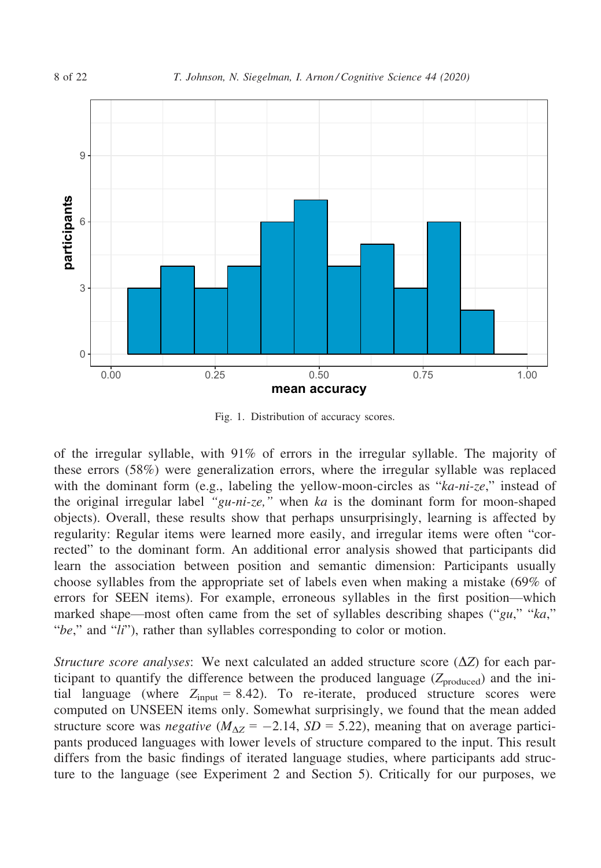

Fig. 1. Distribution of accuracy scores.

of the irregular syllable, with 91% of errors in the irregular syllable. The majority of these errors (58%) were generalization errors, where the irregular syllable was replaced with the dominant form (e.g., labeling the yellow-moon-circles as "ka-ni-ze," instead of the original irregular label "gu-ni-ze," when ka is the dominant form for moon-shaped objects). Overall, these results show that perhaps unsurprisingly, learning is affected by regularity: Regular items were learned more easily, and irregular items were often "corrected" to the dominant form. An additional error analysis showed that participants did learn the association between position and semantic dimension: Participants usually choose syllables from the appropriate set of labels even when making a mistake (69% of errors for SEEN items). For example, erroneous syllables in the first position—which marked shape—most often came from the set of syllables describing shapes (" $gu$ ," " $ka$ ," "be," and "li"), rather than syllables corresponding to color or motion.

Structure score analyses: We next calculated an added structure score  $(\Delta Z)$  for each participant to quantify the difference between the produced language ( $Z_{\text{produced}}$ ) and the initial language (where  $Z_{input} = 8.42$ ). To re-iterate, produced structure scores were computed on UNSEEN items only. Somewhat surprisingly, we found that the mean added structure score was *negative* ( $M_{\Delta Z}$  = -2.14, *SD* = 5.22), meaning that on average participants produced languages with lower levels of structure compared to the input. This result differs from the basic findings of iterated language studies, where participants add structure to the language (see Experiment 2 and Section 5). Critically for our purposes, we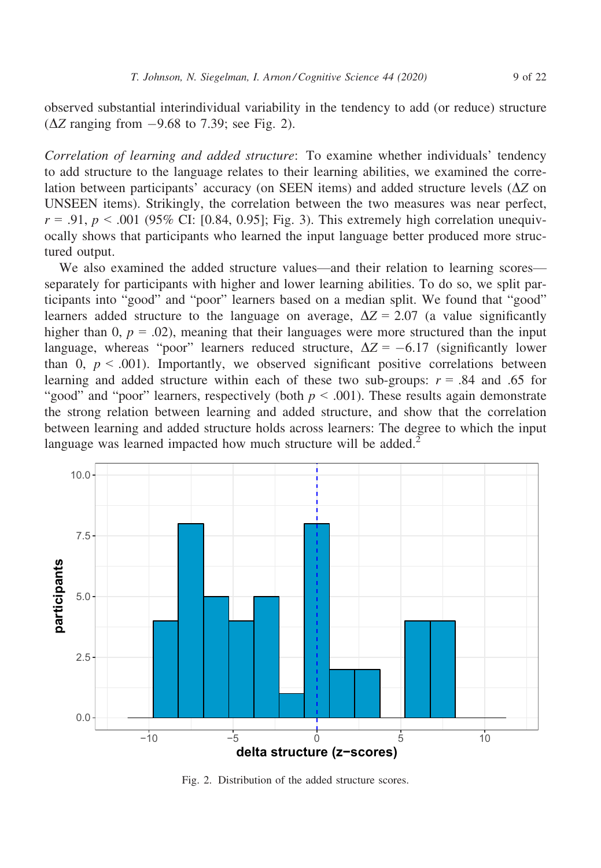observed substantial interindividual variability in the tendency to add (or reduce) structure  $(\Delta Z \text{ ranging from } -9.68 \text{ to } 7.39; \text{ see Fig. 2}).$ 

Correlation of learning and added structure: To examine whether individuals' tendency to add structure to the language relates to their learning abilities, we examined the correlation between participants' accuracy (on SEEN items) and added structure levels  $(\Delta Z)$  on UNSEEN items). Strikingly, the correlation between the two measures was near perfect,  $r = .91$ ,  $p < .001$  (95% CI: [0.84, 0.95]; Fig. 3). This extremely high correlation unequivocally shows that participants who learned the input language better produced more structured output.

We also examined the added structure values—and their relation to learning scores separately for participants with higher and lower learning abilities. To do so, we split participants into "good" and "poor" learners based on a median split. We found that "good" learners added structure to the language on average,  $\Delta Z = 2.07$  (a value significantly higher than 0,  $p = .02$ ), meaning that their languages were more structured than the input language, whereas "poor" learners reduced structure,  $\Delta Z = -6.17$  (significantly lower than 0,  $p \leq .001$ ). Importantly, we observed significant positive correlations between learning and added structure within each of these two sub-groups:  $r = .84$  and .65 for "good" and "poor" learners, respectively (both  $p < .001$ ). These results again demonstrate the strong relation between learning and added structure, and show that the correlation between learning and added structure holds across learners: The degree to which the input language was learned impacted how much structure will be added.<sup>2</sup>



Fig. 2. Distribution of the added structure scores.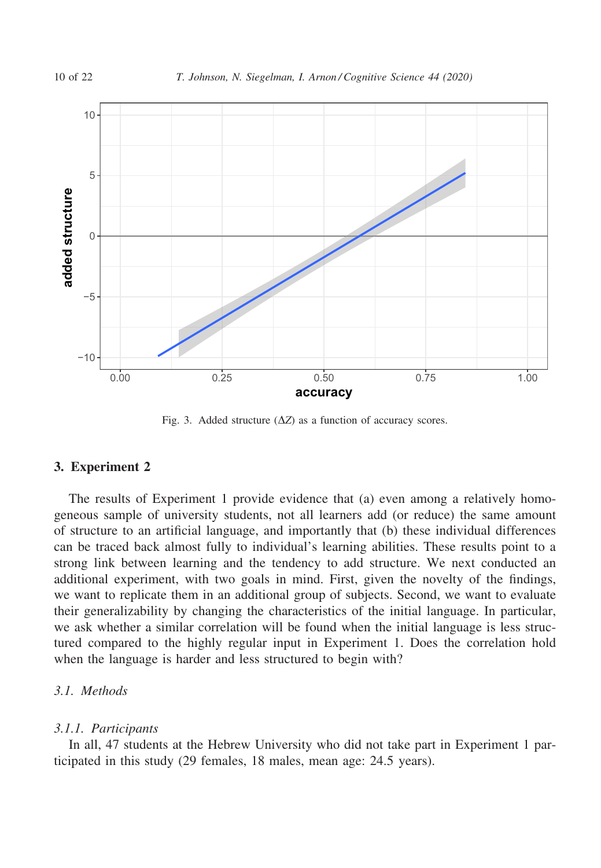

Fig. 3. Added structure  $(\Delta Z)$  as a function of accuracy scores.

## 3. Experiment 2

The results of Experiment 1 provide evidence that (a) even among a relatively homogeneous sample of university students, not all learners add (or reduce) the same amount of structure to an artificial language, and importantly that (b) these individual differences can be traced back almost fully to individual's learning abilities. These results point to a strong link between learning and the tendency to add structure. We next conducted an additional experiment, with two goals in mind. First, given the novelty of the findings, we want to replicate them in an additional group of subjects. Second, we want to evaluate their generalizability by changing the characteristics of the initial language. In particular, we ask whether a similar correlation will be found when the initial language is less structured compared to the highly regular input in Experiment 1. Does the correlation hold when the language is harder and less structured to begin with?

## 3.1. Methods

#### 3.1.1. Participants

In all, 47 students at the Hebrew University who did not take part in Experiment 1 participated in this study (29 females, 18 males, mean age: 24.5 years).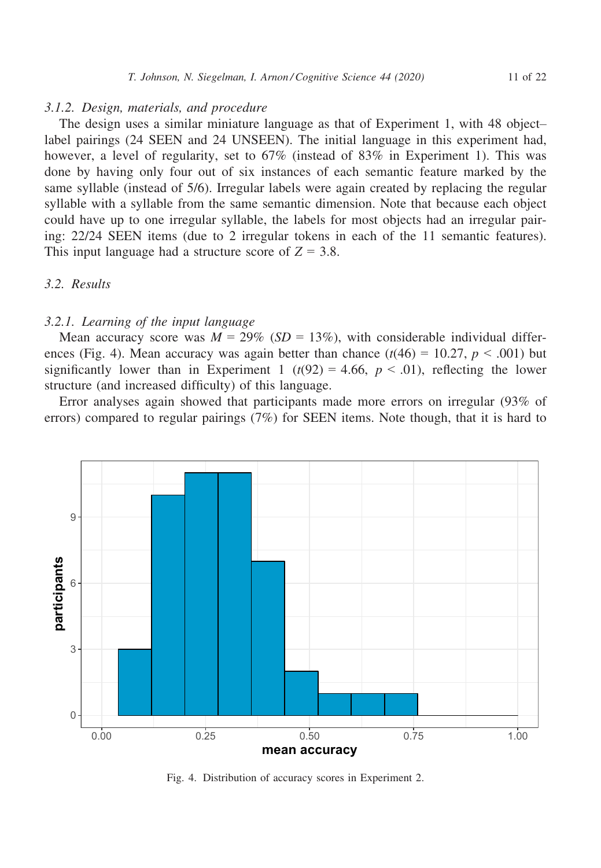## 3.1.2. Design, materials, and procedure

The design uses a similar miniature language as that of Experiment 1, with 48 object– label pairings (24 SEEN and 24 UNSEEN). The initial language in this experiment had, however, a level of regularity, set to 67% (instead of 83% in Experiment 1). This was done by having only four out of six instances of each semantic feature marked by the same syllable (instead of 5/6). Irregular labels were again created by replacing the regular syllable with a syllable from the same semantic dimension. Note that because each object could have up to one irregular syllable, the labels for most objects had an irregular pairing: 22/24 SEEN items (due to 2 irregular tokens in each of the 11 semantic features). This input language had a structure score of  $Z = 3.8$ .

## 3.2. Results

### 3.2.1. Learning of the input language

Mean accuracy score was  $M = 29\%$  (SD = 13%), with considerable individual differences (Fig. 4). Mean accuracy was again better than chance  $(t(46) = 10.27, p < .001)$  but significantly lower than in Experiment 1 ( $t(92) = 4.66$ ,  $p < .01$ ), reflecting the lower structure (and increased difficulty) of this language.

Error analyses again showed that participants made more errors on irregular (93% of errors) compared to regular pairings (7%) for SEEN items. Note though, that it is hard to



Fig. 4. Distribution of accuracy scores in Experiment 2.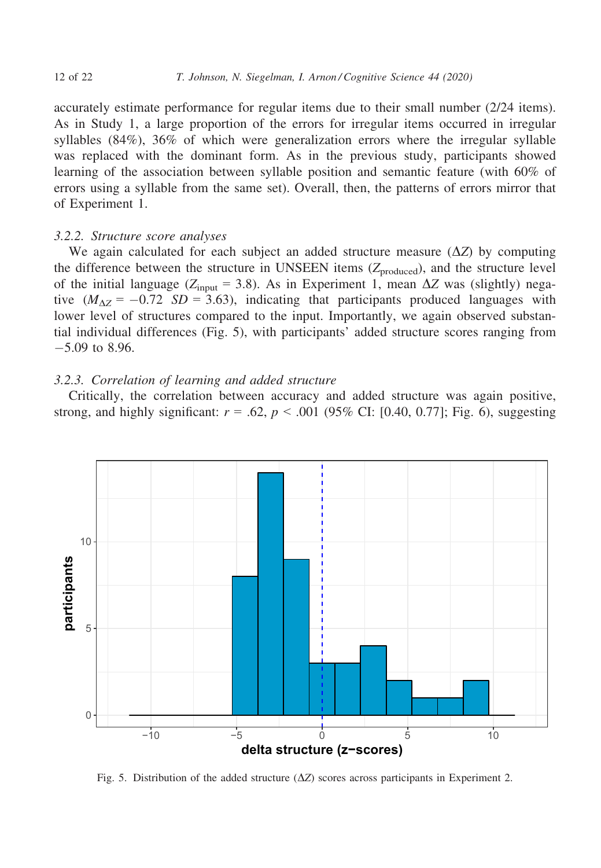accurately estimate performance for regular items due to their small number (2/24 items). As in Study 1, a large proportion of the errors for irregular items occurred in irregular syllables (84%), 36% of which were generalization errors where the irregular syllable was replaced with the dominant form. As in the previous study, participants showed learning of the association between syllable position and semantic feature (with 60% of errors using a syllable from the same set). Overall, then, the patterns of errors mirror that of Experiment 1.

## 3.2.2. Structure score analyses

We again calculated for each subject an added structure measure  $(\Delta Z)$  by computing the difference between the structure in UNSEEN items  $(Z_{produced})$ , and the structure level of the initial language ( $Z_{\text{input}}$  = 3.8). As in Experiment 1, mean  $\Delta Z$  was (slightly) negative  $(M_{\Delta Z} = -0.72 \text{ } SD = 3.63)$ , indicating that participants produced languages with lower level of structures compared to the input. Importantly, we again observed substantial individual differences (Fig. 5), with participants' added structure scores ranging from  $-5.09$  to 8.96.

### 3.2.3. Correlation of learning and added structure

Critically, the correlation between accuracy and added structure was again positive, strong, and highly significant:  $r = .62$ ,  $p < .001$  (95% CI: [0.40, 0.77]; Fig. 6), suggesting



Fig. 5. Distribution of the added structure  $(\Delta Z)$  scores across participants in Experiment 2.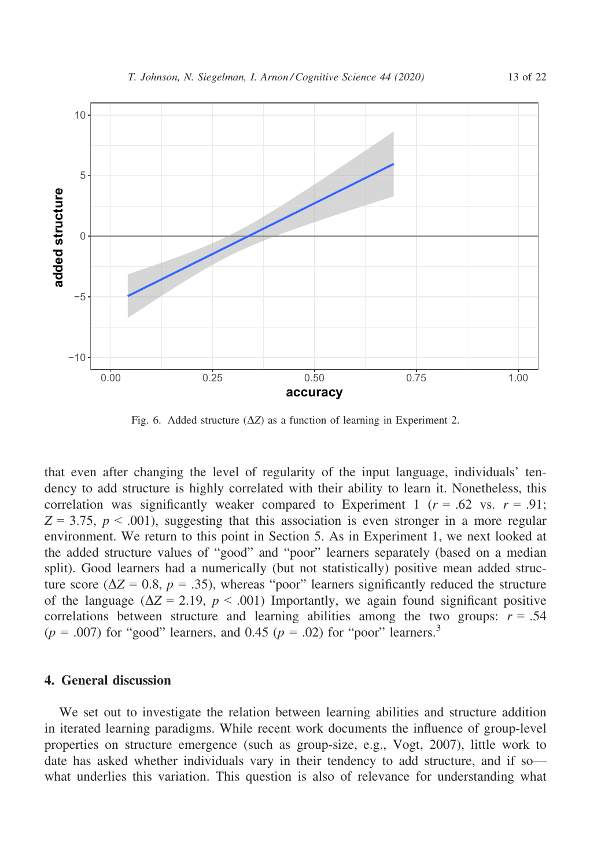

Fig. 6. Added structure  $(\Delta Z)$  as a function of learning in Experiment 2.

that even after changing the level of regularity of the input language, individuals' tendency to add structure is highly correlated with their ability to learn it. Nonetheless, this correlation was significantly weaker compared to Experiment 1 ( $r = .62$  vs.  $r = .91$ ;  $Z = 3.75$ ,  $p < .001$ ), suggesting that this association is even stronger in a more regular environment. We return to this point in Section 5. As in Experiment 1, we next looked at the added structure values of "good" and "poor" learners separately (based on a median split). Good learners had a numerically (but not statistically) positive mean added structure score ( $\Delta Z = 0.8$ ,  $p = .35$ ), whereas "poor" learners significantly reduced the structure of the language ( $\Delta Z = 2.19$ ,  $p < .001$ ) Importantly, we again found significant positive correlations between structure and learning abilities among the two groups:  $r = .54$  $(p = .007)$  for "good" learners, and 0.45  $(p = .02)$  for "poor" learners.<sup>3</sup>

### 4. General discussion

We set out to investigate the relation between learning abilities and structure addition in iterated learning paradigms. While recent work documents the influence of group-level properties on structure emergence (such as group-size, e.g., Vogt, 2007), little work to date has asked whether individuals vary in their tendency to add structure, and if so what underlies this variation. This question is also of relevance for understanding what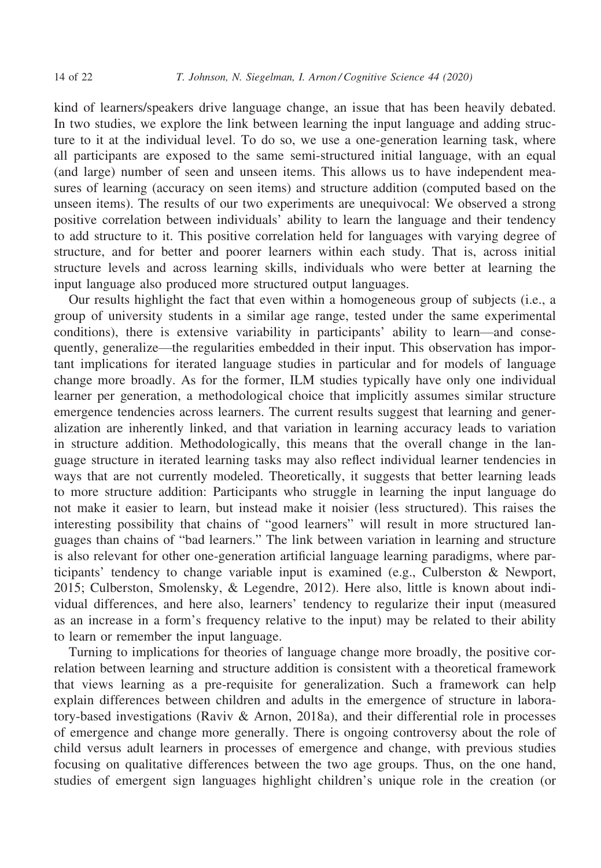kind of learners/speakers drive language change, an issue that has been heavily debated. In two studies, we explore the link between learning the input language and adding structure to it at the individual level. To do so, we use a one-generation learning task, where all participants are exposed to the same semi-structured initial language, with an equal (and large) number of seen and unseen items. This allows us to have independent measures of learning (accuracy on seen items) and structure addition (computed based on the unseen items). The results of our two experiments are unequivocal: We observed a strong positive correlation between individuals' ability to learn the language and their tendency to add structure to it. This positive correlation held for languages with varying degree of structure, and for better and poorer learners within each study. That is, across initial structure levels and across learning skills, individuals who were better at learning the input language also produced more structured output languages.

Our results highlight the fact that even within a homogeneous group of subjects (i.e., a group of university students in a similar age range, tested under the same experimental conditions), there is extensive variability in participants' ability to learn—and consequently, generalize—the regularities embedded in their input. This observation has important implications for iterated language studies in particular and for models of language change more broadly. As for the former, ILM studies typically have only one individual learner per generation, a methodological choice that implicitly assumes similar structure emergence tendencies across learners. The current results suggest that learning and generalization are inherently linked, and that variation in learning accuracy leads to variation in structure addition. Methodologically, this means that the overall change in the language structure in iterated learning tasks may also reflect individual learner tendencies in ways that are not currently modeled. Theoretically, it suggests that better learning leads to more structure addition: Participants who struggle in learning the input language do not make it easier to learn, but instead make it noisier (less structured). This raises the interesting possibility that chains of "good learners" will result in more structured languages than chains of "bad learners." The link between variation in learning and structure is also relevant for other one-generation artificial language learning paradigms, where participants' tendency to change variable input is examined (e.g., Culberston & Newport, 2015; Culberston, Smolensky, & Legendre, 2012). Here also, little is known about individual differences, and here also, learners' tendency to regularize their input (measured as an increase in a form's frequency relative to the input) may be related to their ability to learn or remember the input language.

Turning to implications for theories of language change more broadly, the positive correlation between learning and structure addition is consistent with a theoretical framework that views learning as a pre-requisite for generalization. Such a framework can help explain differences between children and adults in the emergence of structure in laboratory-based investigations (Raviv & Arnon, 2018a), and their differential role in processes of emergence and change more generally. There is ongoing controversy about the role of child versus adult learners in processes of emergence and change, with previous studies focusing on qualitative differences between the two age groups. Thus, on the one hand, studies of emergent sign languages highlight children's unique role in the creation (or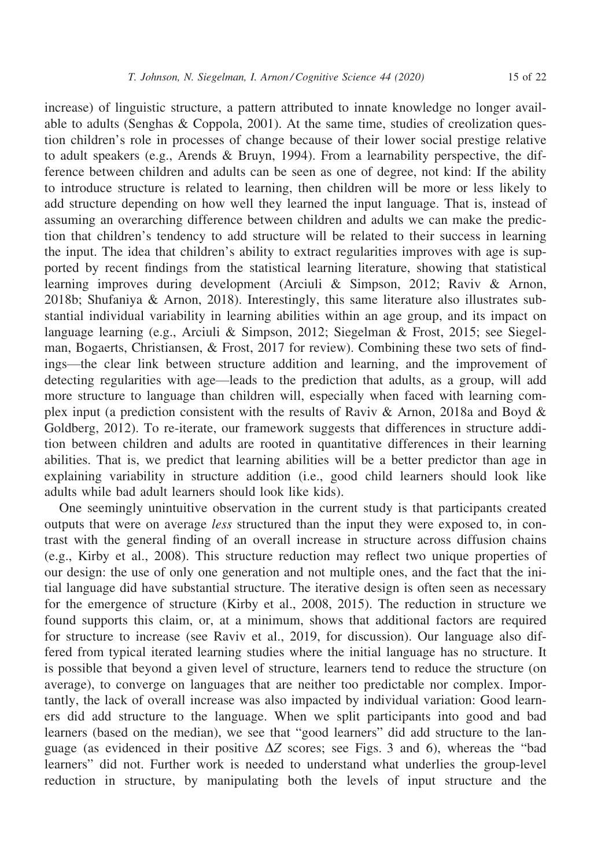increase) of linguistic structure, a pattern attributed to innate knowledge no longer available to adults (Senghas & Coppola, 2001). At the same time, studies of creolization question children's role in processes of change because of their lower social prestige relative to adult speakers (e.g., Arends & Bruyn, 1994). From a learnability perspective, the difference between children and adults can be seen as one of degree, not kind: If the ability to introduce structure is related to learning, then children will be more or less likely to add structure depending on how well they learned the input language. That is, instead of assuming an overarching difference between children and adults we can make the prediction that children's tendency to add structure will be related to their success in learning the input. The idea that children's ability to extract regularities improves with age is supported by recent findings from the statistical learning literature, showing that statistical learning improves during development (Arciuli & Simpson, 2012; Raviv & Arnon, 2018b; Shufaniya & Arnon, 2018). Interestingly, this same literature also illustrates substantial individual variability in learning abilities within an age group, and its impact on language learning (e.g., Arciuli & Simpson, 2012; Siegelman & Frost, 2015; see Siegelman, Bogaerts, Christiansen, & Frost, 2017 for review). Combining these two sets of findings—the clear link between structure addition and learning, and the improvement of detecting regularities with age—leads to the prediction that adults, as a group, will add more structure to language than children will, especially when faced with learning complex input (a prediction consistent with the results of Raviv & Arnon, 2018a and Boyd  $\&$ Goldberg, 2012). To re-iterate, our framework suggests that differences in structure addition between children and adults are rooted in quantitative differences in their learning abilities. That is, we predict that learning abilities will be a better predictor than age in explaining variability in structure addition (i.e., good child learners should look like adults while bad adult learners should look like kids).

One seemingly unintuitive observation in the current study is that participants created outputs that were on average less structured than the input they were exposed to, in contrast with the general finding of an overall increase in structure across diffusion chains (e.g., Kirby et al., 2008). This structure reduction may reflect two unique properties of our design: the use of only one generation and not multiple ones, and the fact that the initial language did have substantial structure. The iterative design is often seen as necessary for the emergence of structure (Kirby et al., 2008, 2015). The reduction in structure we found supports this claim, or, at a minimum, shows that additional factors are required for structure to increase (see Raviv et al., 2019, for discussion). Our language also differed from typical iterated learning studies where the initial language has no structure. It is possible that beyond a given level of structure, learners tend to reduce the structure (on average), to converge on languages that are neither too predictable nor complex. Importantly, the lack of overall increase was also impacted by individual variation: Good learners did add structure to the language. When we split participants into good and bad learners (based on the median), we see that "good learners" did add structure to the language (as evidenced in their positive  $\Delta Z$  scores; see Figs. 3 and 6), whereas the "bad learners" did not. Further work is needed to understand what underlies the group-level reduction in structure, by manipulating both the levels of input structure and the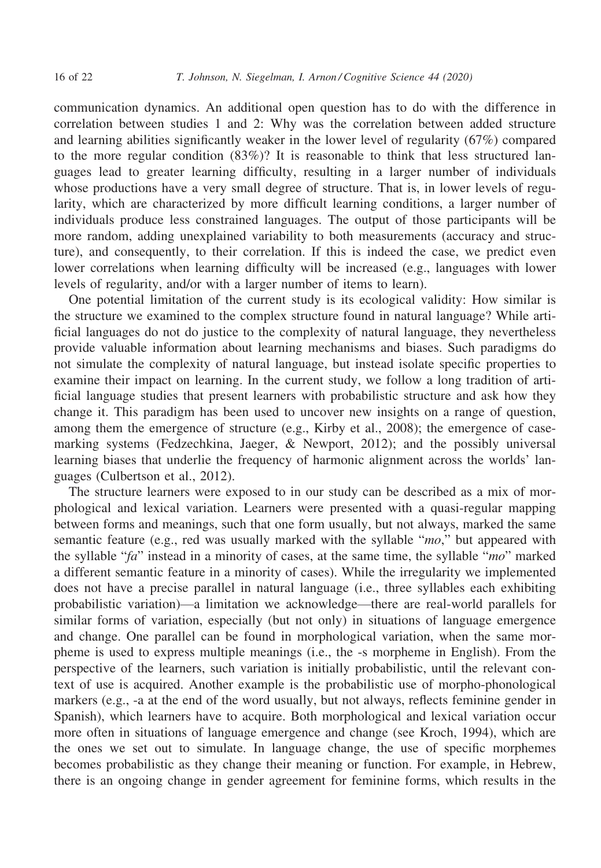communication dynamics. An additional open question has to do with the difference in correlation between studies 1 and 2: Why was the correlation between added structure and learning abilities significantly weaker in the lower level of regularity (67%) compared to the more regular condition (83%)? It is reasonable to think that less structured languages lead to greater learning difficulty, resulting in a larger number of individuals whose productions have a very small degree of structure. That is, in lower levels of regularity, which are characterized by more difficult learning conditions, a larger number of individuals produce less constrained languages. The output of those participants will be more random, adding unexplained variability to both measurements (accuracy and structure), and consequently, to their correlation. If this is indeed the case, we predict even lower correlations when learning difficulty will be increased (e.g., languages with lower levels of regularity, and/or with a larger number of items to learn).

One potential limitation of the current study is its ecological validity: How similar is the structure we examined to the complex structure found in natural language? While artificial languages do not do justice to the complexity of natural language, they nevertheless provide valuable information about learning mechanisms and biases. Such paradigms do not simulate the complexity of natural language, but instead isolate specific properties to examine their impact on learning. In the current study, we follow a long tradition of artificial language studies that present learners with probabilistic structure and ask how they change it. This paradigm has been used to uncover new insights on a range of question, among them the emergence of structure (e.g., Kirby et al., 2008); the emergence of casemarking systems (Fedzechkina, Jaeger, & Newport, 2012); and the possibly universal learning biases that underlie the frequency of harmonic alignment across the worlds' languages (Culbertson et al., 2012).

The structure learners were exposed to in our study can be described as a mix of morphological and lexical variation. Learners were presented with a quasi-regular mapping between forms and meanings, such that one form usually, but not always, marked the same semantic feature (e.g., red was usually marked with the syllable " $mo$ ," but appeared with the syllable "fa" instead in a minority of cases, at the same time, the syllable "mo" marked a different semantic feature in a minority of cases). While the irregularity we implemented does not have a precise parallel in natural language (i.e., three syllables each exhibiting probabilistic variation)—a limitation we acknowledge—there are real-world parallels for similar forms of variation, especially (but not only) in situations of language emergence and change. One parallel can be found in morphological variation, when the same morpheme is used to express multiple meanings (i.e., the -s morpheme in English). From the perspective of the learners, such variation is initially probabilistic, until the relevant context of use is acquired. Another example is the probabilistic use of morpho-phonological markers (e.g., -a at the end of the word usually, but not always, reflects feminine gender in Spanish), which learners have to acquire. Both morphological and lexical variation occur more often in situations of language emergence and change (see Kroch, 1994), which are the ones we set out to simulate. In language change, the use of specific morphemes becomes probabilistic as they change their meaning or function. For example, in Hebrew, there is an ongoing change in gender agreement for feminine forms, which results in the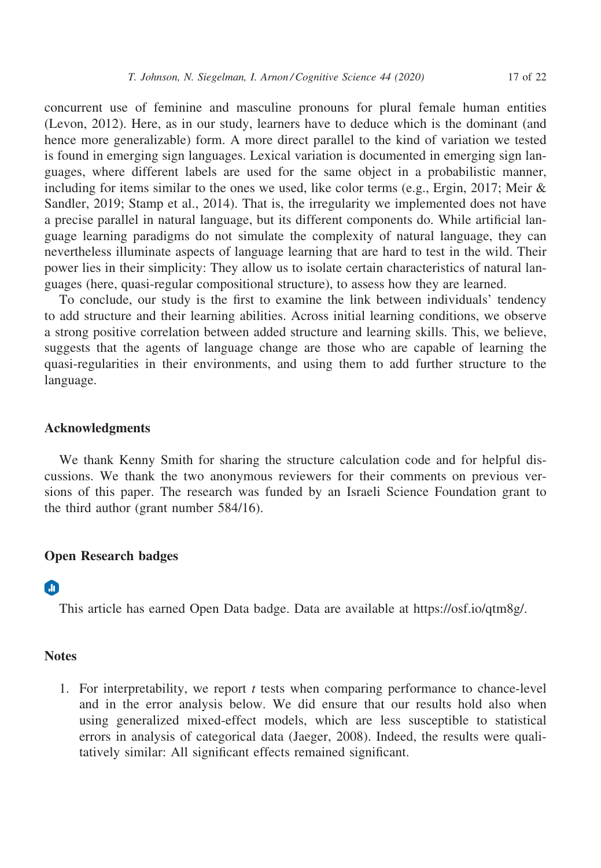concurrent use of feminine and masculine pronouns for plural female human entities (Levon, 2012). Here, as in our study, learners have to deduce which is the dominant (and hence more generalizable) form. A more direct parallel to the kind of variation we tested is found in emerging sign languages. Lexical variation is documented in emerging sign languages, where different labels are used for the same object in a probabilistic manner, including for items similar to the ones we used, like color terms (e.g., Ergin, 2017; Meir & Sandler, 2019; Stamp et al., 2014). That is, the irregularity we implemented does not have a precise parallel in natural language, but its different components do. While artificial language learning paradigms do not simulate the complexity of natural language, they can nevertheless illuminate aspects of language learning that are hard to test in the wild. Their power lies in their simplicity: They allow us to isolate certain characteristics of natural languages (here, quasi-regular compositional structure), to assess how they are learned.

To conclude, our study is the first to examine the link between individuals' tendency to add structure and their learning abilities. Across initial learning conditions, we observe a strong positive correlation between added structure and learning skills. This, we believe, suggests that the agents of language change are those who are capable of learning the quasi-regularities in their environments, and using them to add further structure to the language.

#### Acknowledgments

We thank Kenny Smith for sharing the structure calculation code and for helpful discussions. We thank the two anonymous reviewers for their comments on previous versions of this paper. The research was funded by an Israeli Science Foundation grant to the third author (grant number 584/16).

#### Open Research badges

## $\blacksquare$

This article has earned Open Data badge. Data are available at [https://osf.io/qtm8g/.](https://osf.io/qtm8g/)

### **Notes**

1. For interpretability, we report  $t$  tests when comparing performance to chance-level and in the error analysis below. We did ensure that our results hold also when using generalized mixed-effect models, which are less susceptible to statistical errors in analysis of categorical data (Jaeger, 2008). Indeed, the results were qualitatively similar: All significant effects remained significant.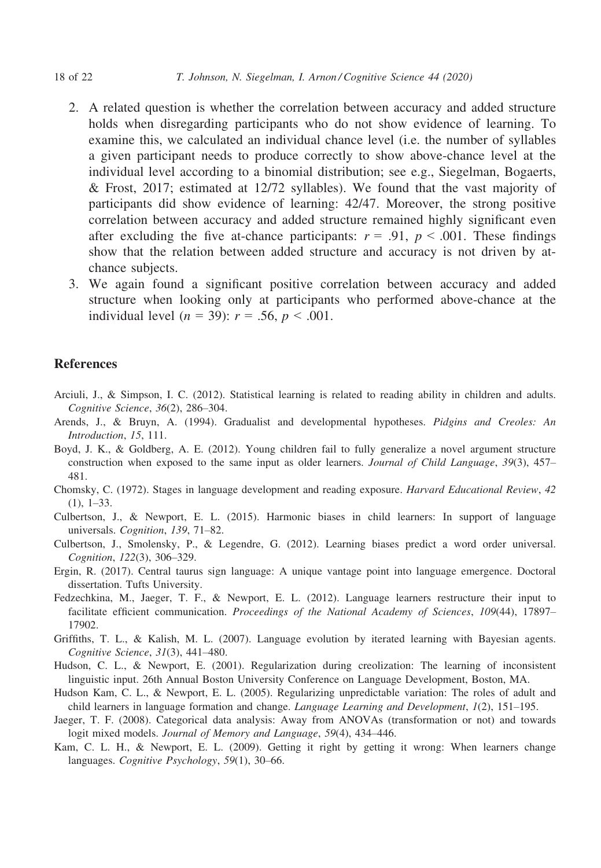- 2. A related question is whether the correlation between accuracy and added structure holds when disregarding participants who do not show evidence of learning. To examine this, we calculated an individual chance level (i.e. the number of syllables a given participant needs to produce correctly to show above-chance level at the individual level according to a binomial distribution; see e.g., Siegelman, Bogaerts, & Frost, 2017; estimated at 12/72 syllables). We found that the vast majority of participants did show evidence of learning: 42/47. Moreover, the strong positive correlation between accuracy and added structure remained highly significant even after excluding the five at-chance participants:  $r = .91$ ,  $p < .001$ . These findings show that the relation between added structure and accuracy is not driven by atchance subjects.
- 3. We again found a significant positive correlation between accuracy and added structure when looking only at participants who performed above-chance at the individual level (*n* = 39):  $r = .56$ ,  $p < .001$ .

## References

- Arciuli, J., & Simpson, I. C. (2012). Statistical learning is related to reading ability in children and adults. Cognitive Science, 36(2), 286–304.
- Arends, J., & Bruyn, A. (1994). Gradualist and developmental hypotheses. Pidgins and Creoles: An Introduction, 15, 111.
- Boyd, J. K., & Goldberg, A. E. (2012). Young children fail to fully generalize a novel argument structure construction when exposed to the same input as older learners. Journal of Child Language, 39(3), 457– 481.
- Chomsky, C. (1972). Stages in language development and reading exposure. Harvard Educational Review, 42 (1), 1–33.
- Culbertson, J., & Newport, E. L. (2015). Harmonic biases in child learners: In support of language universals. Cognition, 139, 71–82.
- Culbertson, J., Smolensky, P., & Legendre, G. (2012). Learning biases predict a word order universal. Cognition, 122(3), 306–329.
- Ergin, R. (2017). Central taurus sign language: A unique vantage point into language emergence. Doctoral dissertation. Tufts University.
- Fedzechkina, M., Jaeger, T. F., & Newport, E. L. (2012). Language learners restructure their input to facilitate efficient communication. Proceedings of the National Academy of Sciences, 109(44), 17897-17902.
- Griffiths, T. L., & Kalish, M. L. (2007). Language evolution by iterated learning with Bayesian agents. Cognitive Science, 31(3), 441–480.
- Hudson, C. L., & Newport, E. (2001). Regularization during creolization: The learning of inconsistent linguistic input. 26th Annual Boston University Conference on Language Development, Boston, MA.
- Hudson Kam, C. L., & Newport, E. L. (2005). Regularizing unpredictable variation: The roles of adult and child learners in language formation and change. *Language Learning and Development*,  $I(2)$ , 151–195.
- Jaeger, T. F. (2008). Categorical data analysis: Away from ANOVAs (transformation or not) and towards logit mixed models. Journal of Memory and Language, 59(4), 434–446.
- Kam, C. L. H., & Newport, E. L. (2009). Getting it right by getting it wrong: When learners change languages. Cognitive Psychology, 59(1), 30–66.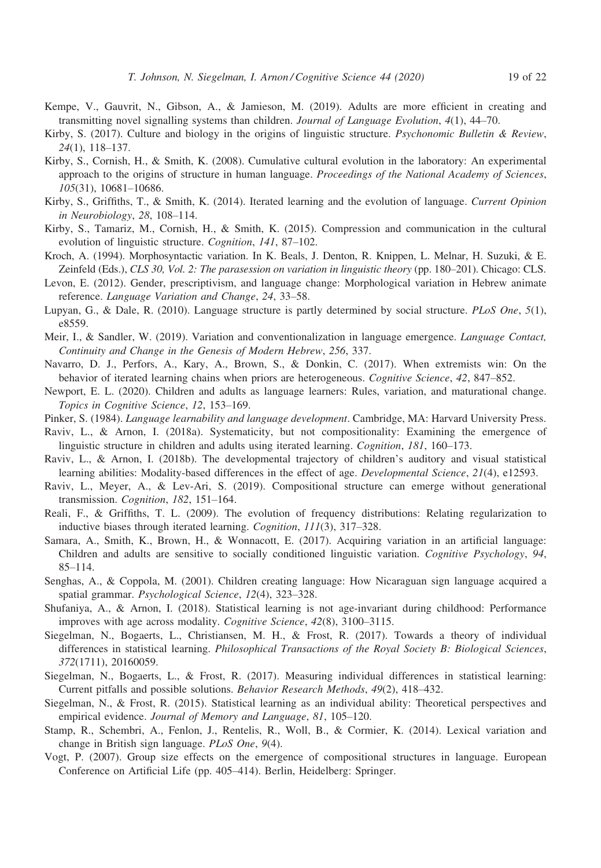- Kempe, V., Gauvrit, N., Gibson, A., & Jamieson, M. (2019). Adults are more efficient in creating and transmitting novel signalling systems than children. Journal of Language Evolution, 4(1), 44–70.
- Kirby, S. (2017). Culture and biology in the origins of linguistic structure. Psychonomic Bulletin & Review, 24(1), 118–137.
- Kirby, S., Cornish, H., & Smith, K. (2008). Cumulative cultural evolution in the laboratory: An experimental approach to the origins of structure in human language. Proceedings of the National Academy of Sciences, 105(31), 10681–10686.
- Kirby, S., Griffiths, T., & Smith, K. (2014). Iterated learning and the evolution of language. Current Opinion in Neurobiology, 28, 108–114.
- Kirby, S., Tamariz, M., Cornish, H., & Smith, K. (2015). Compression and communication in the cultural evolution of linguistic structure. Cognition, 141, 87–102.
- Kroch, A. (1994). Morphosyntactic variation. In K. Beals, J. Denton, R. Knippen, L. Melnar, H. Suzuki, & E. Zeinfeld (Eds.), CLS 30, Vol. 2: The parasession on variation in linguistic theory (pp. 180–201). Chicago: CLS.
- Levon, E. (2012). Gender, prescriptivism, and language change: Morphological variation in Hebrew animate reference. Language Variation and Change, 24, 33–58.
- Lupyan, G., & Dale, R. (2010). Language structure is partly determined by social structure. PLoS One, 5(1), e8559.
- Meir, I., & Sandler, W. (2019). Variation and conventionalization in language emergence. *Language Contact*, Continuity and Change in the Genesis of Modern Hebrew, 256, 337.
- Navarro, D. J., Perfors, A., Kary, A., Brown, S., & Donkin, C. (2017). When extremists win: On the behavior of iterated learning chains when priors are heterogeneous. Cognitive Science, 42, 847–852.
- Newport, E. L. (2020). Children and adults as language learners: Rules, variation, and maturational change. Topics in Cognitive Science, 12, 153–169.
- Pinker, S. (1984). Language learnability and language development. Cambridge, MA: Harvard University Press.
- Raviv, L., & Arnon, I. (2018a). Systematicity, but not compositionality: Examining the emergence of linguistic structure in children and adults using iterated learning. *Cognition*, 181, 160–173.
- Raviv, L., & Arnon, I. (2018b). The developmental trajectory of children's auditory and visual statistical learning abilities: Modality-based differences in the effect of age. Developmental Science, 21(4), e12593.
- Raviv, L., Meyer, A., & Lev-Ari, S. (2019). Compositional structure can emerge without generational transmission. Cognition, 182, 151–164.
- Reali, F., & Griffiths, T. L. (2009). The evolution of frequency distributions: Relating regularization to inductive biases through iterated learning. Cognition, 111(3), 317–328.
- Samara, A., Smith, K., Brown, H., & Wonnacott, E. (2017). Acquiring variation in an artificial language: Children and adults are sensitive to socially conditioned linguistic variation. Cognitive Psychology, 94, 85–114.
- Senghas, A., & Coppola, M. (2001). Children creating language: How Nicaraguan sign language acquired a spatial grammar. Psychological Science, 12(4), 323–328.
- Shufaniya, A., & Arnon, I. (2018). Statistical learning is not age-invariant during childhood: Performance improves with age across modality. Cognitive Science, 42(8), 3100–3115.
- Siegelman, N., Bogaerts, L., Christiansen, M. H., & Frost, R. (2017). Towards a theory of individual differences in statistical learning. Philosophical Transactions of the Royal Society B: Biological Sciences, 372(1711), 20160059.
- Siegelman, N., Bogaerts, L., & Frost, R. (2017). Measuring individual differences in statistical learning: Current pitfalls and possible solutions. Behavior Research Methods, 49(2), 418–432.
- Siegelman, N., & Frost, R. (2015). Statistical learning as an individual ability: Theoretical perspectives and empirical evidence. Journal of Memory and Language, 81, 105–120.
- Stamp, R., Schembri, A., Fenlon, J., Rentelis, R., Woll, B., & Cormier, K. (2014). Lexical variation and change in British sign language. PLoS One, 9(4).
- Vogt, P. (2007). Group size effects on the emergence of compositional structures in language. European Conference on Artificial Life (pp. 405–414). Berlin, Heidelberg: Springer.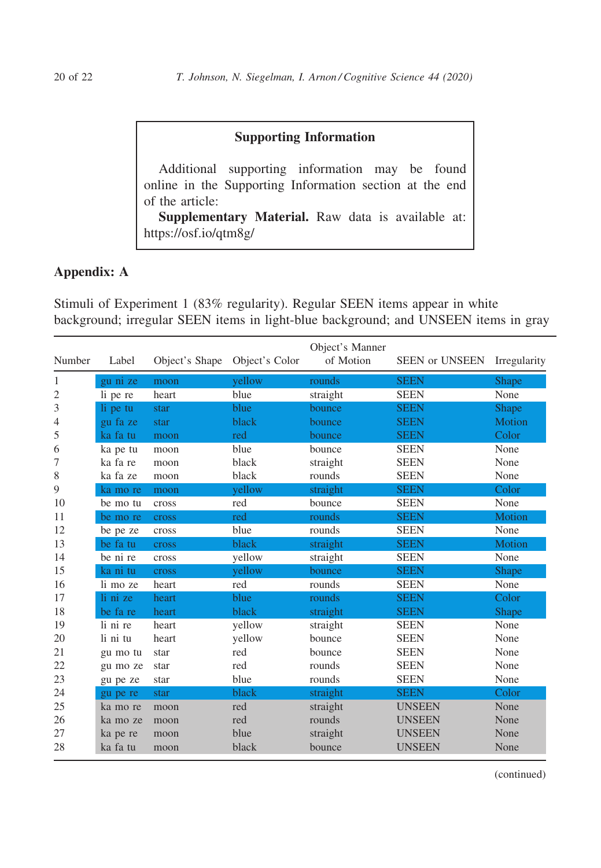## Supporting Information

Additional supporting information may be found online in the Supporting Information section at the end of the article:

Supplementary Material. Raw data is available at: <https://osf.io/qtm8g/>

## Appendix: A

Stimuli of Experiment 1 (83% regularity). Regular SEEN items appear in white background; irregular SEEN items in light-blue background; and UNSEEN items in gray

|        |          |                |                | Object's Manner |                       |               |
|--------|----------|----------------|----------------|-----------------|-----------------------|---------------|
| Number | Label    | Object's Shape | Object's Color | of Motion       | <b>SEEN or UNSEEN</b> | Irregularity  |
| 1      | gu ni ze | moon           | yellow         | rounds          | <b>SEEN</b>           | Shape         |
| 2      | li pe re | heart          | blue           | straight        | <b>SEEN</b>           | None          |
| 3      | li pe tu | star           | blue           | bounce          | <b>SEEN</b>           | <b>Shape</b>  |
| 4      | gu fa ze | star           | black          | bounce          | <b>SEEN</b>           | <b>Motion</b> |
| 5      | ka fa tu | moon           | red            | bounce          | <b>SEEN</b>           | Color         |
| 6      | ka pe tu | moon           | blue           | bounce          | <b>SEEN</b>           | None          |
| 7      | ka fa re | moon           | black          | straight        | <b>SEEN</b>           | None          |
| 8      | ka fa ze | moon           | black          | rounds          | <b>SEEN</b>           | None          |
| 9      | ka mo re | moon           | yellow         | straight        | <b>SEEN</b>           | Color         |
| 10     | be mo tu | cross          | red            | bounce          | <b>SEEN</b>           | None          |
| 11     | be mo re | cross          | red            | rounds          | <b>SEEN</b>           | Motion        |
| 12     | be pe ze | cross          | blue           | rounds          | <b>SEEN</b>           | None          |
| 13     | be fa tu | cross          | black          | straight        | <b>SEEN</b>           | Motion        |
| 14     | be ni re | cross          | yellow         | straight        | <b>SEEN</b>           | None          |
| 15     | ka ni tu | cross          | yellow         | bounce          | <b>SEEN</b>           | <b>Shape</b>  |
| 16     | li mo ze | heart          | red            | rounds          | <b>SEEN</b>           | None          |
| 17     | li ni ze | heart          | blue           | rounds          | <b>SEEN</b>           | Color         |
| 18     | be fa re | heart          | black          | straight        | <b>SEEN</b>           | <b>Shape</b>  |
| 19     | li ni re | heart          | yellow         | straight        | <b>SEEN</b>           | None          |
| 20     | li ni tu | heart          | yellow         | bounce          | <b>SEEN</b>           | None          |
| 21     | gu mo tu | star           | red            | bounce          | <b>SEEN</b>           | None          |
| 22     | gu mo ze | star           | red            | rounds          | <b>SEEN</b>           | None          |
| 23     | gu pe ze | star           | blue           | rounds          | <b>SEEN</b>           | None          |
| 24     | gu pe re | star           | black          | straight        | <b>SEEN</b>           | Color         |
| 25     | ka mo re | moon           | red            | straight        | <b>UNSEEN</b>         | None          |
| 26     | ka mo ze | moon           | red            | rounds          | <b>UNSEEN</b>         | None          |
| 27     | ka pe re | moon           | blue           | straight        | <b>UNSEEN</b>         | None          |
| 28     | ka fa tu | moon           | black          | bounce          | <b>UNSEEN</b>         | None          |

(continued)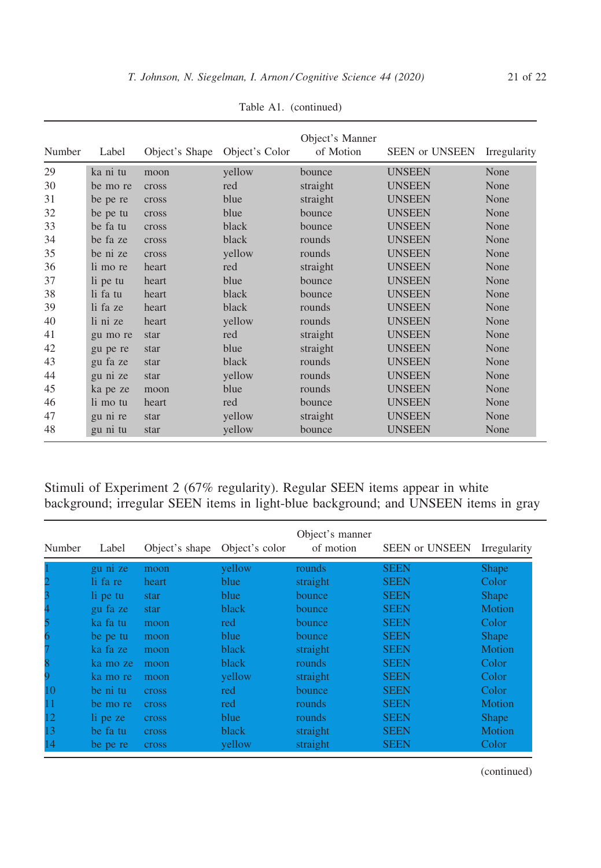|        |          |                               |        | Object's Manner |                       |              |
|--------|----------|-------------------------------|--------|-----------------|-----------------------|--------------|
| Number | Label    | Object's Shape Object's Color |        | of Motion       | <b>SEEN or UNSEEN</b> | Irregularity |
| 29     | ka ni tu | moon                          | yellow | bounce          | <b>UNSEEN</b>         | None         |
| 30     | be mo re | cross                         | red    | straight        | <b>UNSEEN</b>         | None         |
| 31     | be pe re | cross                         | blue   | straight        | <b>UNSEEN</b>         | None         |
| 32     | be pe tu | cross                         | blue   | bounce          | <b>UNSEEN</b>         | None         |
| 33     | be fa tu | cross                         | black  | bounce          | <b>UNSEEN</b>         | None         |
| 34     | be fa ze | cross                         | black  | rounds          | <b>UNSEEN</b>         | None         |
| 35     | be ni ze | cross                         | yellow | rounds          | <b>UNSEEN</b>         | None         |
| 36     | li mo re | heart                         | red    | straight        | <b>UNSEEN</b>         | None         |
| 37     | li pe tu | heart                         | blue   | bounce          | <b>UNSEEN</b>         | None         |
| 38     | li fa tu | heart                         | black  | bounce          | <b>UNSEEN</b>         | None         |
| 39     | li fa ze | heart                         | black  | rounds          | <b>UNSEEN</b>         | None         |
| 40     | li ni ze | heart                         | yellow | rounds          | <b>UNSEEN</b>         | None         |
| 41     | gu mo re | star                          | red    | straight        | <b>UNSEEN</b>         | None         |
| 42     | gu pe re | star                          | blue   | straight        | <b>UNSEEN</b>         | None         |
| 43     | gu fa ze | star                          | black  | rounds          | <b>UNSEEN</b>         | None         |
| 44     | gu ni ze | star                          | yellow | rounds          | <b>UNSEEN</b>         | None         |
| 45     | ka pe ze | moon                          | blue   | rounds          | <b>UNSEEN</b>         | None         |
| 46     | li mo tu | heart                         | red    | bounce          | <b>UNSEEN</b>         | None         |
| 47     | gu ni re | star                          | yellow | straight        | <b>UNSEEN</b>         | None         |
| 48     | gu ni tu | star                          | yellow | bounce          | <b>UNSEEN</b>         | None         |

Table A1. (continued)

Stimuli of Experiment 2 (67% regularity). Regular SEEN items appear in white background; irregular SEEN items in light-blue background; and UNSEEN items in gray

| Number | Label    | Object's shape | Object's color | Object's manner<br>of motion | <b>SEEN or UNSEEN</b> | Irregularity |
|--------|----------|----------------|----------------|------------------------------|-----------------------|--------------|
|        | gu ni ze | moon           | yellow         | rounds                       | <b>SEEN</b>           | <b>Shape</b> |
|        | li fa re | heart          | blue           | straight                     | <b>SEEN</b>           | Color        |
| 3      | li pe tu | star           | blue:          | bounce                       | <b>SEEN</b>           | <b>Shape</b> |
| 4      | gu fa ze | star           | black          | bounce                       | <b>SEEN</b>           | Motion       |
| 5      | ka fa tu | moon           | red            | bounce                       | <b>SEEN</b>           | Color        |
| 6      | be pe tu | moon           | blue           | bounce                       | <b>SEEN</b>           | <b>Shape</b> |
|        | ka fa ze | moon           | black          | straight                     | <b>SEEN</b>           | Motion       |
| 8      | ka mo ze | moon           | black          | rounds                       | <b>SEEN</b>           | Color        |
| 9      | ka mo re | moon           | yellow         | straight                     | <b>SEEN</b>           | Color        |
| 10     | be ni tu | <b>cross</b>   | red            | bounce                       | <b>SEEN</b>           | Color        |
| 11     | be mo re | <b>cross</b>   | red            | rounds                       | <b>SEEN</b>           | Motion       |
| 12     | li pe ze | <b>cross</b>   | blue           | rounds                       | <b>SEEN</b>           | <b>Shape</b> |
| 13     | be fa tu | <b>cross</b>   | black          | straight                     | <b>SEEN</b>           | Motion       |
| 14     | be pe re | cross          | yellow         | straight                     | <b>SEEN</b>           | Color        |

(continued)